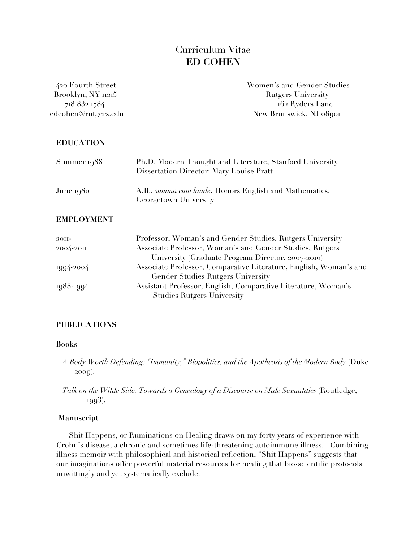# Curriculum Vitae **ED COHEN**

| 420 Fourth Street   | Women's and Gender Studies |
|---------------------|----------------------------|
| Brooklyn, NY 11215  | <b>Rutgers University</b>  |
| 718 832 1784        | 162 Ryders Lane            |
| edcohen@rutgers.edu | New Brunswick, NJ 08901    |
| <b>EDUCATION</b>    |                            |

| Summer 1988 | Ph.D. Modern Thought and Literature, Stanford University<br>Dissertation Director: Mary Louise Pratt |
|-------------|------------------------------------------------------------------------------------------------------|
| June 1980   | A.B., <i>summa cum laude</i> , Honors English and Mathematics,<br>Georgetown University              |

## **EMPLOYMENT**

| $20II -$  | Professor, Woman's and Gender Studies, Rutgers University         |
|-----------|-------------------------------------------------------------------|
| 2004-2011 | Associate Professor, Woman's and Gender Studies, Rutgers          |
|           | University (Graduate Program Director, 2007-2010)                 |
| 1994-2004 | Associate Professor, Comparative Literature, English, Woman's and |
|           | <b>Gender Studies Rutgers University</b>                          |
| 1988-1994 | Assistant Professor, English, Comparative Literature, Woman's     |
|           | <b>Studies Rutgers University</b>                                 |

# **PUBLICATIONS**

#### **Books**

- *A Body Worth Defending: "Immunity," Biopolitics, and the Apotheosis of the Modern Body* (Duke 2009).
- *Talk on the Wilde Side: Towards a Genealogy of a Discourse on Male Sexualities* (Routledge, 1993).

## **Manuscript**

 Shit Happens, or Ruminations on Healing draws on my forty years of experience with Crohn's disease, a chronic and sometimes life-threatening autoimmune illness. Combining illness memoir with philosophical and historical reflection, "Shit Happens" suggests that our imaginations offer powerful material resources for healing that bio-scientific protocols unwittingly and yet systematically exclude.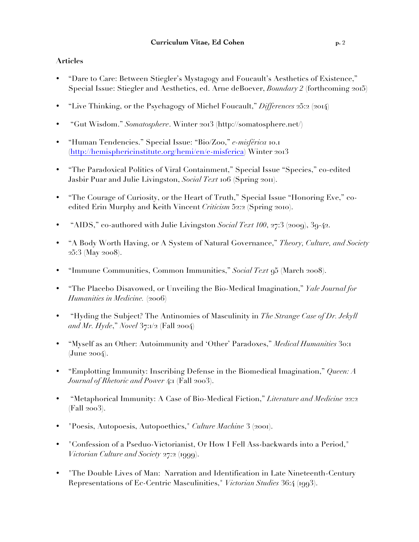# **Articles**

- "Dare to Care: Between Stiegler's Mystagogy and Foucault's Aesthetics of Existence," Special Issue: Stiegler and Aesthetics, ed. Arne deBoever, *Boundary 2* (forthcoming 2015)
- "Live Thinking, or the Psychagogy of Michel Foucault," *Differences* 25:2 (2014)
- "Gut Wisdom." *Somatosphere*. Winter 2013 (http://somatosphere.net/)
- "Human Tendencies." Special Issue: "Bio/Zoo," *e-misférica* 10.1 (http://hemisphericinstitute.org/hemi/en/e-misferica) Winter 2013
- "The Paradoxical Politics of Viral Containment," Special Issue "Species," co-edited Jasbir Puar and Julie Livingston, *Social Text* 106 (Spring 2011).
- "The Courage of Curiosity, or the Heart of Truth," Special Issue "Honoring Eve," coedited Erin Murphy and Keith Vincent *Criticism* 52:2 (Spring 2010).
- "AIDS," co-authored with Julie Livingston *Social Text 100*, 27:3 (2009), 39-42.
- "A Body Worth Having, or A System of Natural Governance," *Theory, Culture, and Society* 25:3 (May 2008).
- "Immune Communities, Common Immunities," *Social Text* 95 (March 2008).
- "The Placebo Disavowed, or Unveiling the Bio-Medical Imagination," *Yale Journal for Humanities in Medicine.* (2006)
- "Hyding the Subject? The Antinomies of Masculinity in *The Strange Case of Dr. Jekyll and Mr. Hyde*," *Novel* 37:1/2 (Fall 2004)
- "Myself as an Other: Autoimmunity and 'Other' Paradoxes," *Medical Humanities* 30:1 (June 2004).
- "Emplotting Immunity: Inscribing Defense in the Biomedical Imagination," *Queen: A Journal of Rhetoric and Power* 4:1 (Fall 2003).
- "Metaphorical Immunity: A Case of Bio-Medical Fiction," *Literature and Medicine* 22:2 (Fall 2003).
- "Poesis, Autopoesis, Autopoethics," *Culture Machine* 3 (2001).
- "Confession of a Pseduo-Victorianist, Or How I Fell Ass-backwards into a Period," *Victorian Culture and Society* 27:2 (1999).
- "The Double Lives of Man: Narration and Identification in Late Nineteenth-Century Representations of Ec-Centric Masculinities," *Victorian Studies* 36:4 (1993).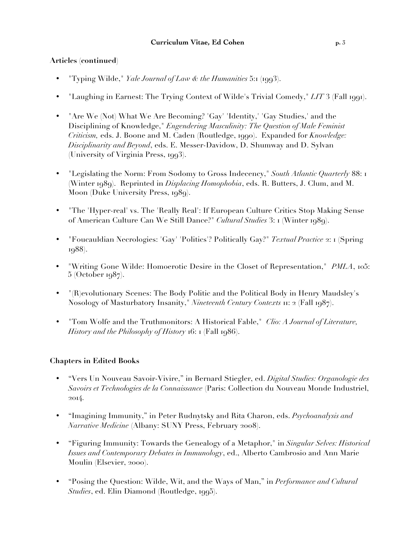# **Articles (continued**)

- "Typing Wilde," *Yale Journal of Law & the Humanities* 5:1 (1993).
- "Laughing in Earnest: The Trying Context of Wilde's Trivial Comedy," *LIT* 3 (Fall 1991).
- "Are We (Not) What We Are Becoming? 'Gay' 'Identity,' 'Gay Studies,' and the Disciplining of Knowledge," *Engendering Masculinity: The Question of Male Feminist Criticism,* eds. J. Boone and M. Caden (Routledge, 1990). Expanded for *Knowledge: Disciplinarity and Beyond*, eds. E. Messer-Davidow, D. Shumway and D. Sylvan (University of Virginia Press, 1993).
- "Legislating the Norm: From Sodomy to Gross Indecency," *South Atlantic Quarterly* 88: 1 (Winter 1989). Reprinted in *Displacing Homophobia*, eds. R. Butters, J. Clum, and M. Moon (Duke University Press, 1989).
- "The 'Hyper-real' vs. The 'Really Real': If European Culture Critics Stop Making Sense of American Culture Can We Still Dance?" *Cultural Studies* 3: 1 (Winter 1989).
- "Foucauldian Necrologies: 'Gay' 'Politics'? Politically Gay?" *Textual Practice* 2: 1 (Spring 1988).
- "Writing Gone Wilde: Homoerotic Desire in the Closet of Representation," *PMLA*, 105: 5 (October 1987).
- "(R)evolutionary Scenes: The Body Politic and the Political Body in Henry Maudsley's Nosology of Masturbatory Insanity," *Nineteenth Century Contexts* 11: 2 (Fall 1987).
- "Tom Wolfe and the Truthmonitors: A Historical Fable," *Clio: A Journal of Literature, History and the Philosophy of History* 16: 1 (Fall 1986).

# **Chapters in Edited Books**

- "Vers Un Nouveau Savoir-Vivire," in Bernard Stiegler, ed. *Digital Studies: Organologie des Savoirs et Technologies de la Connaissance* (Paris: Collection du Nouveau Monde Industriel, 2014.
- "Imagining Immunity," in Peter Rudnytsky and Rita Charon, eds. *Psychoanalysis and Narrative Medicine* (Albany: SUNY Press, February 2008).
- "Figuring Immunity: Towards the Genealogy of a Metaphor," in *Singular Selves: Historical Issues and Contemporary Debates in Immunology*, ed., Alberto Cambrosio and Ann Marie Moulin (Elsevier, 2000).
- "Posing the Question: Wilde, Wit, and the Ways of Man," in *Performance and Cultural Studies*, ed. Elin Diamond (Routledge, 1995).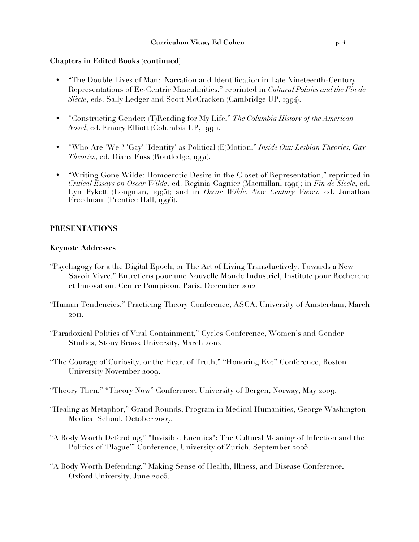#### **Chapters in Edited Books (continued)**

- "The Double Lives of Man: Narration and Identification in Late Nineteenth-Century Representations of Ec-Centric Masculinities," reprinted in *Cultural Politics and the Fin de Siècle*, eds. Sally Ledger and Scott McCracken (Cambridge UP, 1994).
- "Constructing Gender: (T)Reading for My Life," *The Columbia History of the American Novel*, ed. Emory Elliott (Columbia UP, 1991).
- "Who Are 'We'? 'Gay' 'Identity' as Political (E)Motion," *Inside Out: Lesbian Theories, Gay Theories*, ed. Diana Fuss (Routledge, 1991).
- "Writing Gone Wilde: Homoerotic Desire in the Closet of Representation," reprinted in *Critical Essays on Oscar Wilde*, ed. Reginia Gagnier (Macmillan, 1991); in *Fin de Siecle*, ed. Lyn Pykett (Longman, 1995); and in *Oscar Wilde: New Century Views*, ed. Jonathan Freedman (Prentice Hall, 1996).

#### **PRESENTATIONS**

#### **Keynote Addresses**

- "Psychagogy for a the Digital Epoch, or The Art of Living Transductively: Towards a New Savoir Vivre." Entretiens pour une Nouvelle Monde Industriel, Institute pour Recherche et Innovation. Centre Pompidou, Paris. December 2012
- "Human Tendencies," Practicing Theory Conference, ASCA, University of Amsterdam, March 2011.
- "Paradoxical Politics of Viral Containment," Cycles Conference, Women's and Gender Studies, Stony Brook University, March 2010.
- "The Courage of Curiosity, or the Heart of Truth," "Honoring Eve" Conference, Boston University November 2009.
- "Theory Then," "Theory Now" Conference, University of Bergen, Norway, May 2009.
- "Healing as Metaphor," Grand Rounds, Program in Medical Humanities, George Washington Medical School, October 2007.
- "A Body Worth Defending," "Invisible Enemies": The Cultural Meaning of Infection and the Politics of 'Plague'" Conference, University of Zurich, September 2005.
- "A Body Worth Defending," Making Sense of Health, Illness, and Disease Conference, Oxford University, June 2005.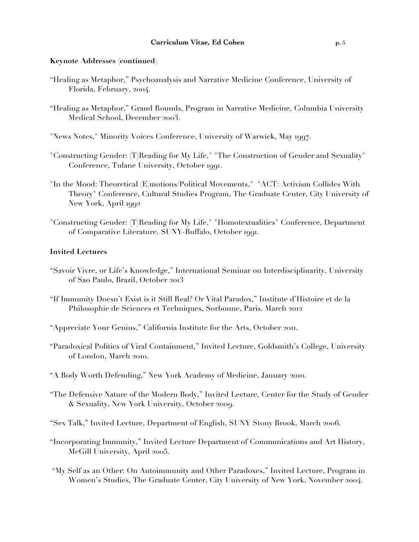#### **Keynote Addresses (continued)**

- "Healing as Metaphor," Psychoanalysis and Narrative Medicine Conference, University of Florida, February, 2004.
- "Healing as Metaphor," Grand Rounds, Program in Narrative Medicine, Columbia University Medical School, December 2003.
- "News Notes," Minority Voices Conference, University of Warwick, May 1997.
- "Constructing Gender: (T)Reading for My Life," "The Construction of Gender and Sexuality" Conference, Tulane University, October 1991.
- "In the Mood: Theoretical (E)motions/Political Movements," "ACT: Activism Collides With Theory" Conference, Cultural Studies Program, The Graduate Center, City University of New York, April 1992
- "Constructing Gender: (T)Reading for My Life," "Homotextualities" Conference, Department of Comparative Literature, SUNY-Buffalo, October 1991.

#### **Invited Lectures**

- "Savoir Vivre, or Life's Knowledge," International Seminar on Interdisciplinarity, University of Sao Paulo, Brazil, October 2013
- "If Immunity Doesn't Exist is it Still Real? Or Vital Paradox," Institute d'Histoire et de la Philosophie de Sciences et Techniques, Sorbonne, Paris. March 2012
- "Appreciate Your Genius," California Institute for the Arts, October 2011.
- "Paradoxical Politics of Viral Containment," Invited Lecture, Goldsmith's College, University of London, March 2010.
- "A Body Worth Defending," New York Academy of Medicine, January 2010.
- "The Defensive Nature of the Modern Body," Invited Lecture, Center for the Study of Gender & Sexuality, New York University, October 2009.
- "Sex Talk," Invited Lecture, Department of English, SUNY Stony Brook, March 2006.
- "Incorporating Immunity," Invited Lecture Department of Communications and Art History, McGill University, April 2005.
- "My Self as an Other: On Autoimmunity and Other Paradoxes," Invited Lecture, Program in Women's Studies, The Graduate Center, City University of New York, November 2004.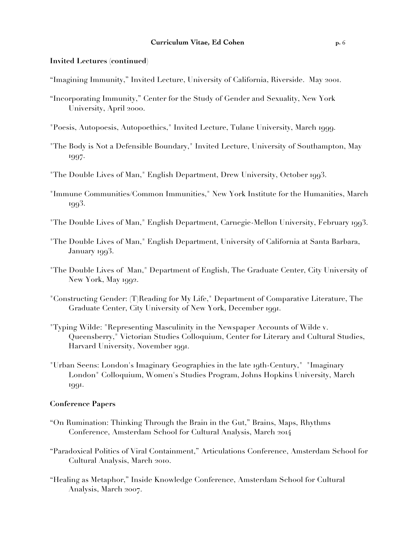#### **Invited Lectures (continued)**

- "Imagining Immunity," Invited Lecture, University of California, Riverside. May 2001.
- "Incorporating Immunity," Center for the Study of Gender and Sexuality, New York University, April 2000.
- "Poesis, Autopoesis, Autopoethics," Invited Lecture, Tulane University, March 1999.
- "The Body is Not a Defensible Boundary," Invited Lecture, University of Southampton, May 1997.
- "The Double Lives of Man," English Department, Drew University, October 1993.
- "Immune Communities/Common Immunities," New York Institute for the Humanities, March 1993.
- "The Double Lives of Man," English Department, Carnegie-Mellon University, February 1993.
- "The Double Lives of Man," English Department, University of California at Santa Barbara, January 1993.
- "The Double Lives of Man," Department of English, The Graduate Center, City University of New York, May 1992.
- "Constructing Gender: (T)Reading for My Life," Department of Comparative Literature, The Graduate Center, City University of New York, December 1991.
- "Typing Wilde: "Representing Masculinity in the Newspaper Accounts of Wilde v. Queensberry," Victorian Studies Colloquium, Center for Literary and Cultural Studies, Harvard University, November 1991.
- "Urban Seens: London's Imaginary Geographies in the late 19th-Century," "Imaginary London" Colloquium, Women's Studies Program, Johns Hopkins University, March 1991.

## **Conference Papers**

- "On Rumination: Thinking Through the Brain in the Gut," Brains, Maps, Rhythms Conference, Amsterdam School for Cultural Analysis, March 2014
- "Paradoxical Politics of Viral Containment," Articulations Conference, Amsterdam School for Cultural Analysis, March 2010.
- "Healing as Metaphor," Inside Knowledge Conference, Amsterdam School for Cultural Analysis, March 2007.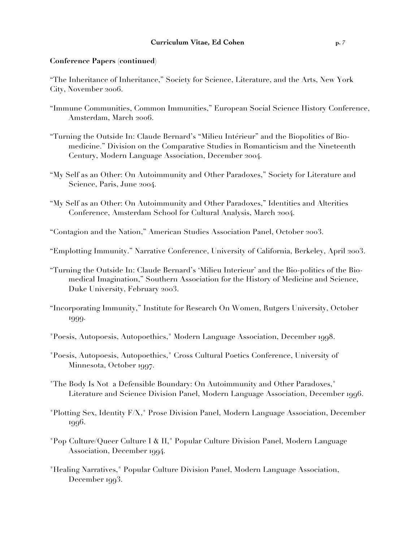"The Inheritance of Inheritance," Society for Science, Literature, and the Arts, New York City, November 2006.

- "Immune Communities, Common Immunities," European Social Science History Conference, Amsterdam, March 2006.
- "Turning the Outside In: Claude Bernard's "Milieu Intérieur" and the Biopolitics of Biomedicine." Division on the Comparative Studies in Romanticism and the Nineteenth Century, Modern Language Association, December 2004.
- "My Self as an Other: On Autoimmunity and Other Paradoxes," Society for Literature and Science, Paris, June 2004.
- "My Self as an Other: On Autoimmunity and Other Paradoxes," Identities and Alterities Conference, Amsterdam School for Cultural Analysis, March 2004.
- "Contagion and the Nation," American Studies Association Panel, October 2003.
- "Emplotting Immunity." Narrative Conference, University of California, Berkeley, April 2003.
- "Turning the Outside In: Claude Bernard's 'Milieu Interieur' and the Bio-politics of the Biomedical Imagination," Southern Association for the History of Medicine and Science, Duke University, February 2003.
- "Incorporating Immunity," Institute for Research On Women, Rutgers University, October 1999.
- "Poesis, Autopoesis, Autopoethics," Modern Language Association, December 1998.
- "Poesis, Autopoesis, Autopoethics," Cross Cultural Poetics Conference, University of Minnesota, October 1997.
- "The Body Is Not a Defensible Boundary: On Autoimmunity and Other Paradoxes," Literature and Science Division Panel, Modern Language Association, December 1996.
- "Plotting Sex, Identity F/X," Prose Division Panel, Modern Language Association, December 1996.
- "Pop Culture/Queer Culture I & II," Popular Culture Division Panel, Modern Language Association, December 1994.
- "Healing Narratives," Popular Culture Division Panel, Modern Language Association, December 1993.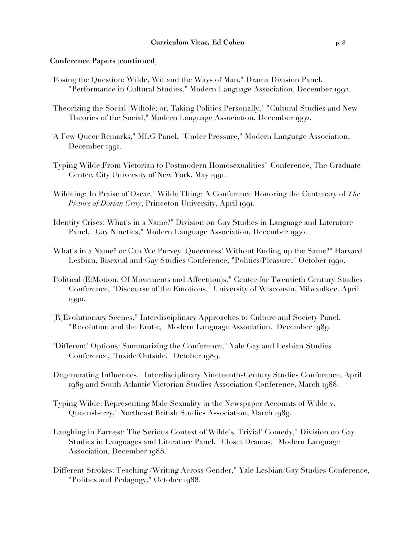#### **Conference Papers (continued)**

- "Posing the Question: Wilde, Wit and the Ways of Man," Drama Division Panel, "Performance in Cultural Studies," Modern Language Association, December 1992.
- "Theorizing the Social (W)hole; or, Taking Politics Personally," "Cultural Studies and New Theories of the Social," Modern Language Association, December 1992.
- "A Few Queer Remarks," MLG Panel, "Under Pressure," Modern Language Association, December 1991.
- "Typing Wilde:From Victorian to Postmodern Homosexualities" Conference, The Graduate Center, City University of New York, May 1991.
- "Wildeing: In Praise of Oscar," Wilde Thing: A Conference Honoring the Centenary of *The Picture of Dorian Gray*, Princeton University, April 1991.
- "Identity Crises: What's in a Name?" Division on Gay Studies in Language and Literature Panel, "Gay Nineties," Modern Language Association, December 1990.
- "What's in a Name? or Can We Purvey 'Queerness' Without Ending up the Same?" Harvard Lesbian, Bisexual and Gay Studies Conference, "Politics/Pleasure," October 1990.
- "Political (E)Motion: Of Movements and Affect(ion)s," Center for Twentieth Century Studies Conference, "Discourse of the Emotions," University of Wisconsin, Milwaulkee, April 1990.
- "(R)Evolutionary Scenes," Interdisciplinary Approaches to Culture and Society Panel, "Revolution and the Erotic," Modern Language Association, December 1989.
- "'Different' Options: Summarizing the Conference," Yale Gay and Lesbian Studies Conference, "Inside/Outside," October 1989.
- "Degenerating Influences," Interdisciplinary Nineteenth-Century Studies Conference, April 1989 and South Atlantic Victorian Studies Association Conference, March 1988.
- "Typing Wilde: Representing Male Sexuality in the Newspaper Accounts of Wilde v. Queensberry," Northeast British Studies Association, March 1989.
- "Laughing in Earnest: The Serious Context of Wilde's 'Trivial' Comedy," Division on Gay Studies in Languages and Literature Panel, "Closet Dramas," Modern Language Association, December 1988.
- "Different Strokes: Teaching /Writing Across Gender," Yale Lesbian/Gay Studies Conference, "Politics and Pedagogy," October 1988.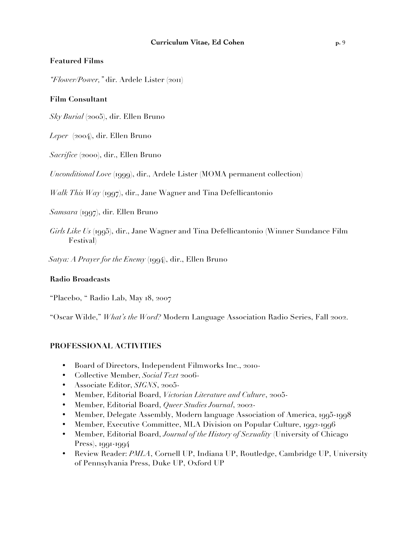#### **Featured Films**

*"Flower/Power,"* dir. Ardele Lister (2011)

#### **Film Consultant**

*Sky Burial* (2005), dir. Ellen Bruno

*Leper* (2004), dir. Ellen Bruno

*Sacrifice* (2000), dir., Ellen Bruno

*Unconditional Love* (1999), dir., Ardele Lister (MOMA permanent collection)

*Walk This Way* (1997), dir., Jane Wagner and Tina Defellicantonio

*Samsara* (1997), dir. Ellen Bruno

*Girls Like Us* (1995), dir., Jane Wagner and Tina Defellicantonio (Winner Sundance Film Festival)

 *Satya: A Prayer for the Enemy* (1994), dir., Ellen Bruno

#### **Radio Broadcasts**

"Placebo, " Radio Lab, May 18, 2007

"Oscar Wilde," *What's the Word?* Modern Language Association Radio Series, Fall 2002.

#### **PROFESSIONAL ACTIVITIES**

- Board of Directors, Independent Filmworks Inc., 2010-
- Collective Member, *Social Text* 2006-
- Associate Editor, *SIGNS*, 2005-
- Member, Editorial Board, *Victorian Literature and Culture*, 2005-
- Member, Editorial Board, *Queer Studies Journal*, 2002-
- Member, Delegate Assembly, Modern language Association of America, 1995-1998
- Member, Executive Committee, MLA Division on Popular Culture, 1992-1996
- Member, Editorial Board, *Journal of the History of Sexuality* (University of Chicago Press), 1991-1994
- Review Reader: *PMLA*, Cornell UP, Indiana UP, Routledge, Cambridge UP, University of Pennsylvania Press, Duke UP, Oxford UP